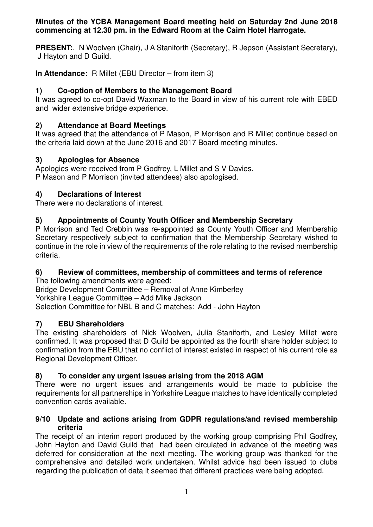#### **Minutes of the YCBA Management Board meeting held on Saturday 2nd June 2018 commencing at 12.30 pm. in the Edward Room at the Cairn Hotel Harrogate.**

**PRESENT:**. N Woolven (Chair), J A Staniforth (Secretary), R Jepson (Assistant Secretary), J Hayton and D Guild.

**In Attendance:** R Millet (EBU Director – from item 3)

# **1) Co-option of Members to the Management Board**

It was agreed to co-opt David Waxman to the Board in view of his current role with EBED and wider extensive bridge experience.

## **2) Attendance at Board Meetings**

It was agreed that the attendance of P Mason, P Morrison and R Millet continue based on the criteria laid down at the June 2016 and 2017 Board meeting minutes.

## **3) Apologies for Absence**

Apologies were received from P Godfrey, L Millet and S V Davies. P Mason and P Morrison (invited attendees) also apologised.

## **4) Declarations of Interest**

There were no declarations of interest.

## **5) Appointments of County Youth Officer and Membership Secretary**

P Morrison and Ted Crebbin was re-appointed as County Youth Officer and Membership Secretary respectively subject to confirmation that the Membership Secretary wished to continue in the role in view of the requirements of the role relating to the revised membership criteria.

# **6) Review of committees, membership of committees and terms of reference**

The following amendments were agreed: Bridge Development Committee – Removal of Anne Kimberley Yorkshire League Committee – Add Mike Jackson Selection Committee for NBL B and C matches: Add - John Hayton

# **7) EBU Shareholders**

The existing shareholders of Nick Woolven, Julia Staniforth, and Lesley Millet were confirmed. It was proposed that D Guild be appointed as the fourth share holder subject to confirmation from the EBU that no conflict of interest existed in respect of his current role as Regional Development Officer.

# **8) To consider any urgent issues arising from the 2018 AGM**

There were no urgent issues and arrangements would be made to publicise the requirements for all partnerships in Yorkshire League matches to have identically completed convention cards available.

#### **9/10 Update and actions arising from GDPR regulations/and revised membership criteria**

The receipt of an interim report produced by the working group comprising Phil Godfrey, John Hayton and David Guild that had been circulated in advance of the meeting was deferred for consideration at the next meeting. The working group was thanked for the comprehensive and detailed work undertaken. Whilst advice had been issued to clubs regarding the publication of data it seemed that different practices were being adopted.